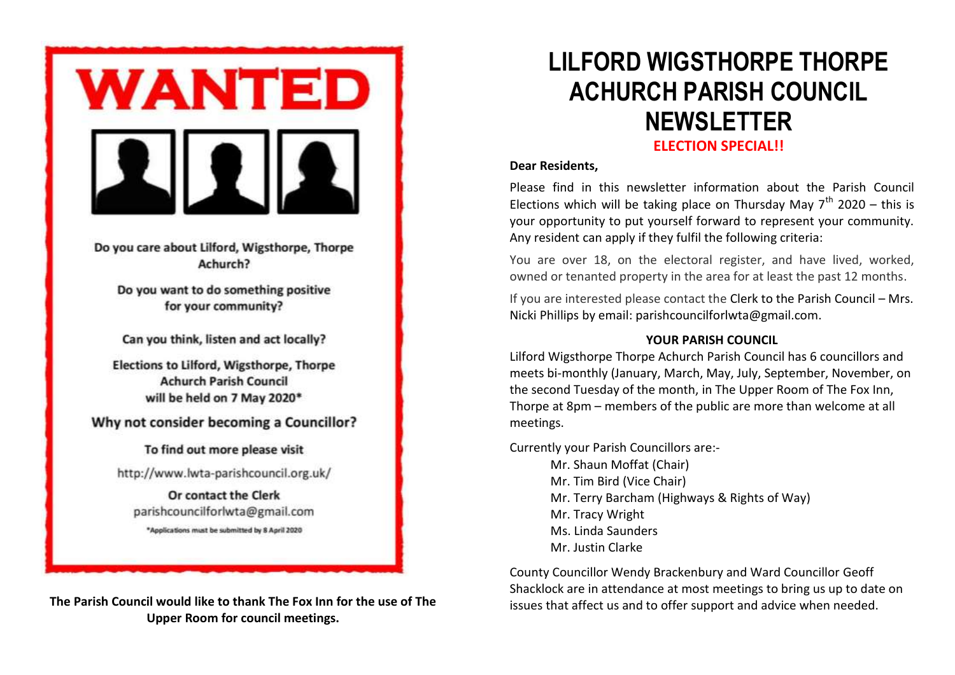

Do you care about Lilford, Wigsthorpe, Thorpe Achurch?

Do you want to do something positive for your community?

Can you think, listen and act locally?

Elections to Lilford, Wigsthorpe, Thorpe **Achurch Parish Council** will be held on 7 May 2020\*

Why not consider becoming a Councillor?

To find out more please visit http://www.lwta-parishcouncil.org.uk/

Or contact the Clerk parishcouncilforlwta@gmail.com \*Applications must be submitted by 8 April 2020

**The Parish Council would like to thank The Fox Inn for the use of The Upper Room for council meetings.**

# **LILFORD WIGSTHORPE THORPE ACHURCH PARISH COUNCIL NEWSLETTER ELECTION SPECIAL!!**

# **Dear Residents,**

Dear Residents,<br>Please find in this newsletter information about the Parish Council Elections which will be taking place on Thursday May  $7<sup>th</sup>$  2020 – this is your opportunity to put yourself forward to represent your community. Any resident can apply if they fulfil the following criteria:

You are over 18, on the electoral register, and have lived, worked, owned or tenanted property in the area for at least the past 12 months.

If you are interested please contact the Clerk to the Parish Council – Mrs. Nicki Phillips by email: [parishcouncilforlwta@gmail.com.](mailto:parishcouncilforlwta@gmail.com)

# **YOUR PARISH COUNCIL**

Lilford Wigsthorpe Thorpe Achurch Parish Council has 6 councillors and meets bi-monthly (January, March, May, July, September, November, on the second Tuesday of the month, in The Upper Room of The Fox Inn, Thorpe at 8pm – members of the public are more than welcome at all meetings.

Currently your Parish Councillors are:-

Mr. Shaun Moffat (Chair) Mr. Tim Bird (Vice Chair) Mr. Terry Barcham (Highways & Rights of Way) Mr. Tracy Wright Ms. Linda Saunders Mr. Justin Clarke

County Councillor Wendy Brackenbury and Ward Councillor Geoff Shacklock are in attendance at most meetings to bring us up to date on issues that affect us and to offer support and advice when needed.